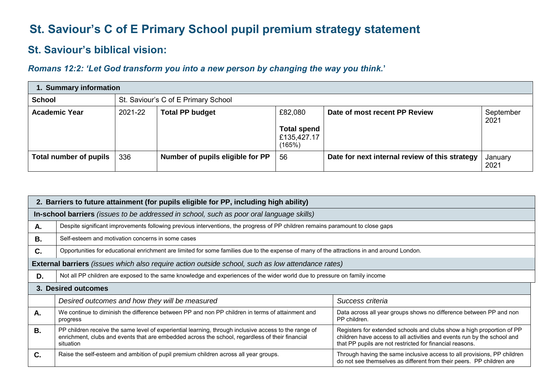## **St. Saviour's C of E Primary School pupil premium strategy statement**

## **St. Saviour's biblical vision:**

## *Romans 12:2: 'Let God transform you into a new person by changing the way you think.***'**

| 1. Summary information |         |                                     |                                                        |                                                |                   |  |  |  |
|------------------------|---------|-------------------------------------|--------------------------------------------------------|------------------------------------------------|-------------------|--|--|--|
| <b>School</b>          |         | St. Saviour's C of E Primary School |                                                        |                                                |                   |  |  |  |
| <b>Academic Year</b>   | 2021-22 | <b>Total PP budget</b>              | £82,080<br><b>Total spend</b><br>£135,427.17<br>(165%) | Date of most recent PP Review                  | September<br>2021 |  |  |  |
| Total number of pupils | 336     | Number of pupils eligible for PP    | 56                                                     | Date for next internal review of this strategy | January<br>2021   |  |  |  |

|           | 2. Barriers to future attainment (for pupils eligible for PP, including high ability)                                                                                                                                                                                                                                                                                                                                                 |                                                                                                                                                 |  |  |  |  |
|-----------|---------------------------------------------------------------------------------------------------------------------------------------------------------------------------------------------------------------------------------------------------------------------------------------------------------------------------------------------------------------------------------------------------------------------------------------|-------------------------------------------------------------------------------------------------------------------------------------------------|--|--|--|--|
|           | In-school barriers (issues to be addressed in school, such as poor oral language skills)                                                                                                                                                                                                                                                                                                                                              |                                                                                                                                                 |  |  |  |  |
| Α.        | Despite significant improvements following previous interventions, the progress of PP children remains paramount to close gaps                                                                                                                                                                                                                                                                                                        |                                                                                                                                                 |  |  |  |  |
| В.        | Self-esteem and motivation concerns in some cases                                                                                                                                                                                                                                                                                                                                                                                     |                                                                                                                                                 |  |  |  |  |
| C.        | Opportunities for educational enrichment are limited for some families due to the expense of many of the attractions in and around London.                                                                                                                                                                                                                                                                                            |                                                                                                                                                 |  |  |  |  |
|           | <b>External barriers</b> (issues which also require action outside school, such as low attendance rates)                                                                                                                                                                                                                                                                                                                              |                                                                                                                                                 |  |  |  |  |
| D.        | Not all PP children are exposed to the same knowledge and experiences of the wider world due to pressure on family income                                                                                                                                                                                                                                                                                                             |                                                                                                                                                 |  |  |  |  |
|           | 3. Desired outcomes                                                                                                                                                                                                                                                                                                                                                                                                                   |                                                                                                                                                 |  |  |  |  |
|           | Desired outcomes and how they will be measured                                                                                                                                                                                                                                                                                                                                                                                        | Success criteria                                                                                                                                |  |  |  |  |
| Α.        | We continue to diminish the difference between PP and non PP children in terms of attainment and<br>Data across all year groups shows no difference between PP and non<br>PP children.<br>progress                                                                                                                                                                                                                                    |                                                                                                                                                 |  |  |  |  |
| <b>B.</b> | PP children receive the same level of experiential learning, through inclusive access to the range of<br>Registers for extended schools and clubs show a high proportion of PP<br>children have access to all activities and events run by the school and<br>enrichment, clubs and events that are embedded across the school, regardless of their financial<br>that PP pupils are not restricted for financial reasons.<br>situation |                                                                                                                                                 |  |  |  |  |
| C.        | Raise the self-esteem and ambition of pupil premium children across all year groups.                                                                                                                                                                                                                                                                                                                                                  | Through having the same inclusive access to all provisions, PP children<br>do not see themselves as different from their peers. PP children are |  |  |  |  |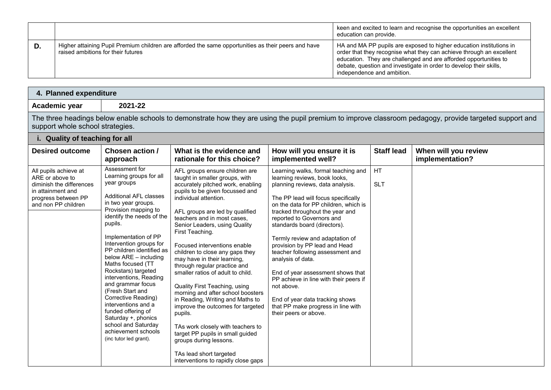|    |                                                                                                                                           | keen and excited to learn and recognise the opportunities an excellent<br>education can provide.                                                                                                                                                                                                                    |
|----|-------------------------------------------------------------------------------------------------------------------------------------------|---------------------------------------------------------------------------------------------------------------------------------------------------------------------------------------------------------------------------------------------------------------------------------------------------------------------|
| D. | Higher attaining Pupil Premium children are afforded the same opportunities as their peers and have<br>raised ambitions for their futures | HA and MA PP pupils are exposed to higher education institutions in<br>order that they recognise what they can achieve through an excellent<br>education. They are challenged and are afforded opportunities to<br>debate, question and investigate in order to develop their skills,<br>independence and ambition. |

| 4. Planned expenditure                                                                                                                                                                      |         |  |  |  |  |
|---------------------------------------------------------------------------------------------------------------------------------------------------------------------------------------------|---------|--|--|--|--|
| Academic year                                                                                                                                                                               | 2021-22 |  |  |  |  |
| The three headings below enable schools to demonstrate how they are using the pupil premium to improve classroom pedagogy, provide targeted support and<br>support whole school strategies. |         |  |  |  |  |

| i. Quality of teaching for all                                                                                                          |                                                                                                                                                                                                                                                                                                                                                                                                                                                                                                                                                                               |                                                                                                                                                                                                                                                                                                                                                                                                                                                                                                                                                                                                                                                                                                                                                                                               |                                                                                                                                                                                                                                                                                                                                                                                                                                                                                                                                                                                                                      |                   |                                         |  |  |
|-----------------------------------------------------------------------------------------------------------------------------------------|-------------------------------------------------------------------------------------------------------------------------------------------------------------------------------------------------------------------------------------------------------------------------------------------------------------------------------------------------------------------------------------------------------------------------------------------------------------------------------------------------------------------------------------------------------------------------------|-----------------------------------------------------------------------------------------------------------------------------------------------------------------------------------------------------------------------------------------------------------------------------------------------------------------------------------------------------------------------------------------------------------------------------------------------------------------------------------------------------------------------------------------------------------------------------------------------------------------------------------------------------------------------------------------------------------------------------------------------------------------------------------------------|----------------------------------------------------------------------------------------------------------------------------------------------------------------------------------------------------------------------------------------------------------------------------------------------------------------------------------------------------------------------------------------------------------------------------------------------------------------------------------------------------------------------------------------------------------------------------------------------------------------------|-------------------|-----------------------------------------|--|--|
| <b>Desired outcome</b>                                                                                                                  | Chosen action /<br>approach                                                                                                                                                                                                                                                                                                                                                                                                                                                                                                                                                   | What is the evidence and<br>rationale for this choice?                                                                                                                                                                                                                                                                                                                                                                                                                                                                                                                                                                                                                                                                                                                                        | How will you ensure it is<br>implemented well?                                                                                                                                                                                                                                                                                                                                                                                                                                                                                                                                                                       | <b>Staff lead</b> | When will you review<br>implementation? |  |  |
| All pupils achieve at<br>ARE or above to<br>diminish the differences<br>in attainment and<br>progress between PP<br>and non PP children | Assessment for<br>Learning groups for all<br>year groups<br><b>Additional AFL classes</b><br>in two year groups.<br>Provision mapping to<br>identify the needs of the<br>pupils.<br>Implementation of PP<br>Intervention groups for<br>PP children identified as<br>below $ARE$ – including<br>Maths focused (TT<br>Rockstars) targeted<br>interventions, Reading<br>and grammar focus<br>(Fresh Start and<br>Corrective Reading)<br>interventions and a<br>funded offering of<br>Saturday +, phonics<br>school and Saturday<br>achievement schools<br>(inc tutor led grant). | AFL groups ensure children are<br>taught in smaller groups, with<br>accurately pitched work, enabling<br>pupils to be given focussed and<br>individual attention.<br>AFL groups are led by qualified<br>teachers and in most cases,<br>Senior Leaders, using Quality<br>First Teaching.<br>Focused interventions enable<br>children to close any gaps they<br>may have in their learning,<br>through regular practice and<br>smaller ratios of adult to child.<br>Quality First Teaching, using<br>morning and after school boosters<br>in Reading, Writing and Maths to<br>improve the outcomes for targeted<br>pupils.<br>TAs work closely with teachers to<br>target PP pupils in small guided<br>groups during lessons.<br>TAs lead short targeted<br>interventions to rapidly close gaps | Learning walks, formal teaching and<br>learning reviews, book looks,<br>planning reviews, data analysis.<br>The PP lead will focus specifically<br>on the data for PP children, which is<br>tracked throughout the year and<br>reported to Governors and<br>standards board (directors).<br>Termly review and adaptation of<br>provision by PP lead and Head<br>teacher following assessment and<br>analysis of data.<br>End of year assessment shows that<br>PP achieve in line with their peers if<br>not above.<br>End of year data tracking shows<br>that PP make progress in line with<br>their peers or above. | HT<br><b>SLT</b>  |                                         |  |  |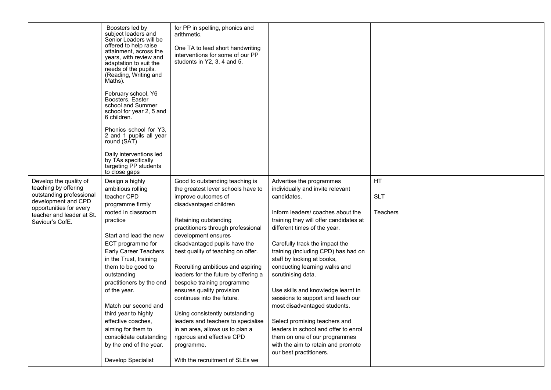|                                                      | Boosters led by<br>subject leaders and<br>Senior Leaders will be<br>offered to help raise<br>attainment, across the<br>years, with review and<br>adaptation to suit the<br>needs of the pupils.<br>(Reading, Writing and<br>Maths).<br>February school, Y6<br>Boosters, Easter<br>school and Summer<br>school for year 2, 5 and<br>6 children.<br>Phonics school for Y3,<br>2 and 1 pupils all year<br>round (SAT)<br>Daily interventions led<br>by TAs specifically<br>targeting PP students<br>to close gaps | for PP in spelling, phonics and<br>arithmetic.<br>One TA to lead short handwriting<br>interventions for some of our PP<br>students in Y2, 3, 4 and 5. |                                                                        |                 |  |
|------------------------------------------------------|----------------------------------------------------------------------------------------------------------------------------------------------------------------------------------------------------------------------------------------------------------------------------------------------------------------------------------------------------------------------------------------------------------------------------------------------------------------------------------------------------------------|-------------------------------------------------------------------------------------------------------------------------------------------------------|------------------------------------------------------------------------|-----------------|--|
| Develop the quality of                               | Design a highly                                                                                                                                                                                                                                                                                                                                                                                                                                                                                                | Good to outstanding teaching is                                                                                                                       | Advertise the programmes                                               | <b>HT</b>       |  |
| teaching by offering<br>outstanding professional     | ambitious rolling<br>teacher CPD                                                                                                                                                                                                                                                                                                                                                                                                                                                                               | the greatest lever schools have to<br>improve outcomes of                                                                                             | individually and invite relevant<br>candidates.                        | <b>SLT</b>      |  |
| development and CPD                                  | programme firmly                                                                                                                                                                                                                                                                                                                                                                                                                                                                                               | disadvantaged children                                                                                                                                |                                                                        |                 |  |
| opportunities for every<br>teacher and leader at St. | rooted in classroom                                                                                                                                                                                                                                                                                                                                                                                                                                                                                            |                                                                                                                                                       | Inform leaders/ coaches about the                                      | <b>Teachers</b> |  |
| Saviour's CofE.                                      | practice                                                                                                                                                                                                                                                                                                                                                                                                                                                                                                       | Retaining outstanding<br>practitioners through professional                                                                                           | training they will offer candidates at<br>different times of the year. |                 |  |
|                                                      | Start and lead the new                                                                                                                                                                                                                                                                                                                                                                                                                                                                                         | development ensures                                                                                                                                   |                                                                        |                 |  |
|                                                      | ECT programme for                                                                                                                                                                                                                                                                                                                                                                                                                                                                                              | disadvantaged pupils have the                                                                                                                         | Carefully track the impact the                                         |                 |  |
|                                                      | Early Career Teachers                                                                                                                                                                                                                                                                                                                                                                                                                                                                                          | best quality of teaching on offer.                                                                                                                    | training (including CPD) has had on                                    |                 |  |
|                                                      | in the Trust, training                                                                                                                                                                                                                                                                                                                                                                                                                                                                                         |                                                                                                                                                       | staff by looking at books,                                             |                 |  |
|                                                      | them to be good to                                                                                                                                                                                                                                                                                                                                                                                                                                                                                             | Recruiting ambitious and aspiring<br>leaders for the future by offering a                                                                             | conducting learning walks and                                          |                 |  |
|                                                      | outstanding<br>practitioners by the end                                                                                                                                                                                                                                                                                                                                                                                                                                                                        | bespoke training programme                                                                                                                            | scrutinising data.                                                     |                 |  |
|                                                      | of the year.                                                                                                                                                                                                                                                                                                                                                                                                                                                                                                   | ensures quality provision                                                                                                                             | Use skills and knowledge learnt in                                     |                 |  |
|                                                      |                                                                                                                                                                                                                                                                                                                                                                                                                                                                                                                | continues into the future.                                                                                                                            | sessions to support and teach our                                      |                 |  |
|                                                      | Match our second and                                                                                                                                                                                                                                                                                                                                                                                                                                                                                           |                                                                                                                                                       | most disadvantaged students.                                           |                 |  |
|                                                      | third year to highly                                                                                                                                                                                                                                                                                                                                                                                                                                                                                           | Using consistently outstanding                                                                                                                        |                                                                        |                 |  |
|                                                      | effective coaches,                                                                                                                                                                                                                                                                                                                                                                                                                                                                                             | leaders and teachers to specialise                                                                                                                    | Select promising teachers and                                          |                 |  |
|                                                      | aiming for them to                                                                                                                                                                                                                                                                                                                                                                                                                                                                                             | in an area, allows us to plan a                                                                                                                       | leaders in school and offer to enrol                                   |                 |  |
|                                                      | consolidate outstanding                                                                                                                                                                                                                                                                                                                                                                                                                                                                                        | rigorous and effective CPD                                                                                                                            | them on one of our programmes                                          |                 |  |
|                                                      | by the end of the year.                                                                                                                                                                                                                                                                                                                                                                                                                                                                                        | programme.                                                                                                                                            | with the aim to retain and promote<br>our best practitioners.          |                 |  |
|                                                      | Develop Specialist                                                                                                                                                                                                                                                                                                                                                                                                                                                                                             | With the recruitment of SLEs we                                                                                                                       |                                                                        |                 |  |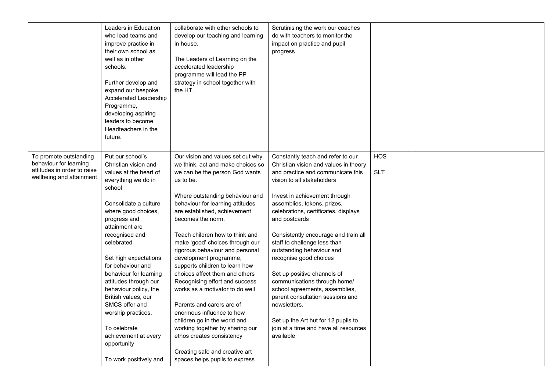|                                                                                                             | Leaders in Education<br>who lead teams and<br>improve practice in<br>their own school as<br>well as in other<br>schools.<br>Further develop and<br>expand our bespoke<br>Accelerated Leadership<br>Programme,<br>developing aspiring<br>leaders to become<br>Headteachers in the<br>future. | collaborate with other schools to<br>develop our teaching and learning<br>in house.<br>The Leaders of Learning on the<br>accelerated leadership<br>programme will lead the PP<br>strategy in school together with<br>the HT.                                                                                                                                                                                           | Scrutinising the work our coaches<br>do with teachers to monitor the<br>impact on practice and pupil<br>progress                                                                                                                                                                                                                                                                                      |                          |  |
|-------------------------------------------------------------------------------------------------------------|---------------------------------------------------------------------------------------------------------------------------------------------------------------------------------------------------------------------------------------------------------------------------------------------|------------------------------------------------------------------------------------------------------------------------------------------------------------------------------------------------------------------------------------------------------------------------------------------------------------------------------------------------------------------------------------------------------------------------|-------------------------------------------------------------------------------------------------------------------------------------------------------------------------------------------------------------------------------------------------------------------------------------------------------------------------------------------------------------------------------------------------------|--------------------------|--|
| To promote outstanding<br>behaviour for learning<br>attitudes in order to raise<br>wellbeing and attainment | Put our school's<br>Christian vision and<br>values at the heart of<br>everything we do in<br>school<br>Consolidate a culture<br>where good choices,<br>progress and<br>attainment are<br>recognised and<br>celebrated<br>Set high expectations<br>for behaviour and                         | Our vision and values set out why<br>we think, act and make choices so<br>we can be the person God wants<br>us to be.<br>Where outstanding behaviour and<br>behaviour for learning attitudes<br>are established, achievement<br>becomes the norm.<br>Teach children how to think and<br>make 'good' choices through our<br>rigorous behaviour and personal<br>development programme,<br>supports children to learn how | Constantly teach and refer to our<br>Christian vision and values in theory<br>and practice and communicate this<br>vision to all stakeholders<br>Invest in achievement through<br>assemblies, tokens, prizes,<br>celebrations, certificates, displays<br>and postcards<br>Consistently encourage and train all<br>staff to challenge less than<br>outstanding behaviour and<br>recognise good choices | <b>HOS</b><br><b>SLT</b> |  |
|                                                                                                             | behaviour for learning<br>attitudes through our<br>behaviour policy, the<br>British values, our<br>SMCS offer and<br>worship practices.<br>To celebrate<br>achievement at every<br>opportunity<br>To work positively and                                                                    | choices affect them and others<br>Recognising effort and success<br>works as a motivator to do well<br>Parents and carers are of<br>enormous influence to how<br>children go in the world and<br>working together by sharing our<br>ethos creates consistency<br>Creating safe and creative art<br>spaces helps pupils to express                                                                                      | Set up positive channels of<br>communications through home/<br>school agreements, assemblies,<br>parent consultation sessions and<br>newsletters.<br>Set up the Art hut for 12 pupils to<br>join at a time and have all resources<br>available                                                                                                                                                        |                          |  |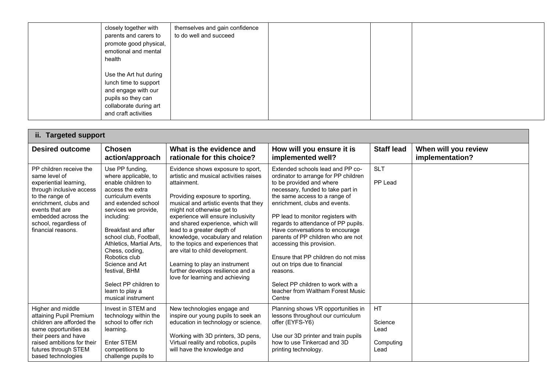| closely together with<br>parents and carers to<br>promote good physical,<br>emotional and mental<br>health                                     | themselves and gain confidence<br>to do well and succeed |  |  |
|------------------------------------------------------------------------------------------------------------------------------------------------|----------------------------------------------------------|--|--|
| Use the Art hut during<br>lunch time to support<br>and engage with our<br>pupils so they can<br>collaborate during art<br>and craft activities |                                                          |  |  |

| ii. Targeted support                                                                                                                                                                                                                |                                                                                                                                                                                                                                                                                                                                                                                           |                                                                                                                                                                                                                                                                                                                                                                                                                                                                                                                                        |                                                                                                                                                                                                                                                                                                                                                                                                                                                                                                                                                                       |                                            |                                         |  |
|-------------------------------------------------------------------------------------------------------------------------------------------------------------------------------------------------------------------------------------|-------------------------------------------------------------------------------------------------------------------------------------------------------------------------------------------------------------------------------------------------------------------------------------------------------------------------------------------------------------------------------------------|----------------------------------------------------------------------------------------------------------------------------------------------------------------------------------------------------------------------------------------------------------------------------------------------------------------------------------------------------------------------------------------------------------------------------------------------------------------------------------------------------------------------------------------|-----------------------------------------------------------------------------------------------------------------------------------------------------------------------------------------------------------------------------------------------------------------------------------------------------------------------------------------------------------------------------------------------------------------------------------------------------------------------------------------------------------------------------------------------------------------------|--------------------------------------------|-----------------------------------------|--|
| <b>Desired outcome</b>                                                                                                                                                                                                              | <b>Chosen</b><br>action/approach                                                                                                                                                                                                                                                                                                                                                          | What is the evidence and<br>rationale for this choice?                                                                                                                                                                                                                                                                                                                                                                                                                                                                                 | How will you ensure it is<br>implemented well?                                                                                                                                                                                                                                                                                                                                                                                                                                                                                                                        | <b>Staff lead</b>                          | When will you review<br>implementation? |  |
| PP children receive the<br>same level of<br>experiential learning.<br>through inclusive access<br>to the range of<br>enrichment, clubs and<br>events that are<br>embedded across the<br>school, regardless of<br>financial reasons. | Use PP funding,<br>where applicable, to<br>enable children to<br>access the extra<br>curriculum events<br>and extended school<br>services we provide,<br>including:<br>Breakfast and after<br>school club, Football,<br>Athletics, Martial Arts,<br>Chess, coding,<br>Robotics club<br>Science and Art<br>festival, BHM<br>Select PP children to<br>learn to play a<br>musical instrument | Evidence shows exposure to sport,<br>artistic and musical activities raises<br>attainment.<br>Providing exposure to sporting,<br>musical and artistic events that they<br>might not otherwise get to<br>experience will ensure inclusivity<br>and shared experience, which will<br>lead to a greater depth of<br>knowledge, vocabulary and relation<br>to the topics and experiences that<br>are vital to child development.<br>Learning to play an instrument<br>further develops resilience and a<br>love for learning and achieving | Extended schools lead and PP co-<br>ordinator to arrange for PP children<br>to be provided and where<br>necessary, funded to take part in<br>the same access to a range of<br>enrichment, clubs and events.<br>PP lead to monitor registers with<br>regards to attendance of PP pupils.<br>Have conversations to encourage<br>parents of PP children who are not<br>accessing this provision.<br>Ensure that PP children do not miss<br>out on trips due to financial<br>reasons.<br>Select PP children to work with a<br>teacher from Waltham Forest Music<br>Centre | <b>SLT</b><br>PP Lead                      |                                         |  |
| Higher and middle<br>attaining Pupil Premium<br>children are afforded the<br>same opportunities as<br>their peers and have<br>raised ambitions for their<br>futures through STEM<br>based technologies                              | Invest in STEM and<br>technology within the<br>school to offer rich<br>learning.<br>Enter STEM<br>competitions to<br>challenge pupils to                                                                                                                                                                                                                                                  | New technologies engage and<br>inspire our young pupils to seek an<br>education in technology or science.<br>Working with 3D printers, 3D pens,<br>Virtual reality and robotics, pupils<br>will have the knowledge and                                                                                                                                                                                                                                                                                                                 | Planning shows VR opportunities in<br>lessons throughout our curriculum<br>offer (EYFS-Y6)<br>Use our 3D printer and train pupils<br>how to use Tinkercad and 3D<br>printing technology.                                                                                                                                                                                                                                                                                                                                                                              | HT<br>Science<br>Lead<br>Computing<br>Lead |                                         |  |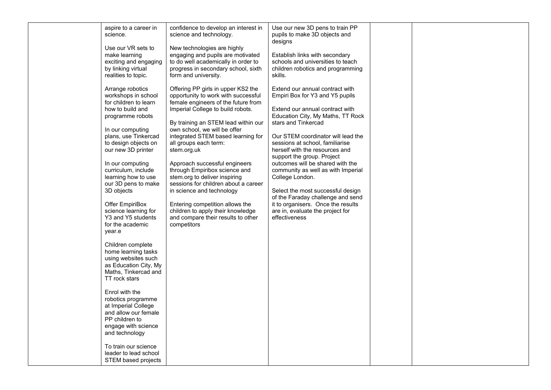| aspire to a career in<br>science.                                                                                                                                                                                                                                                                                                                                                                                                                                                                                                                                                                                                                                                                                                                | confidence to develop an interest in<br>science and technology.                                                                                                                                                                                                                                                                                                                                                                                                                                                                                                                                                 | Use our new 3D pens to train PP<br>pupils to make 3D objects and<br>designs                                                                                                                                                                                                                                                                                                                                                                                                                                                                                                  |  |
|--------------------------------------------------------------------------------------------------------------------------------------------------------------------------------------------------------------------------------------------------------------------------------------------------------------------------------------------------------------------------------------------------------------------------------------------------------------------------------------------------------------------------------------------------------------------------------------------------------------------------------------------------------------------------------------------------------------------------------------------------|-----------------------------------------------------------------------------------------------------------------------------------------------------------------------------------------------------------------------------------------------------------------------------------------------------------------------------------------------------------------------------------------------------------------------------------------------------------------------------------------------------------------------------------------------------------------------------------------------------------------|------------------------------------------------------------------------------------------------------------------------------------------------------------------------------------------------------------------------------------------------------------------------------------------------------------------------------------------------------------------------------------------------------------------------------------------------------------------------------------------------------------------------------------------------------------------------------|--|
| Use our VR sets to<br>make learning<br>exciting and engaging<br>by linking virtual<br>realities to topic.                                                                                                                                                                                                                                                                                                                                                                                                                                                                                                                                                                                                                                        | New technologies are highly<br>engaging and pupils are motivated<br>to do well academically in order to<br>progress in secondary school, sixth<br>form and university.                                                                                                                                                                                                                                                                                                                                                                                                                                          | Establish links with secondary<br>schools and universities to teach<br>children robotics and programming<br>skills.                                                                                                                                                                                                                                                                                                                                                                                                                                                          |  |
| Arrange robotics<br>workshops in school<br>for children to learn<br>how to build and<br>programme robots<br>In our computing<br>plans, use Tinkercad<br>to design objects on<br>our new 3D printer<br>In our computing<br>curriculum, include<br>learning how to use<br>our 3D pens to make<br>3D objects<br>Offer EmpiriBox<br>science learning for<br>Y3 and Y5 students<br>for the academic<br>year.e<br>Children complete<br>home learning tasks<br>using websites such<br>as Education City, My<br>Maths, Tinkercad and<br>TT rock stars<br>Enrol with the<br>robotics programme<br>at Imperial College<br>and allow our female<br>PP children to<br>engage with science<br>and technology<br>To train our science<br>leader to lead school | Offering PP girls in upper KS2 the<br>opportunity to work with successful<br>female engineers of the future from<br>Imperial College to build robots.<br>By training an STEM lead within our<br>own school, we will be offer<br>integrated STEM based learning for<br>all groups each term:<br>stem.org.uk<br>Approach successful engineers<br>through Empiribox science and<br>stem.org to deliver inspiring<br>sessions for children about a career<br>in science and technology<br>Entering competition allows the<br>children to apply their knowledge<br>and compare their results to other<br>competitors | Extend our annual contract with<br>Empiri Box for Y3 and Y5 pupils<br>Extend our annual contract with<br>Education City, My Maths, TT Rock<br>stars and Tinkercad<br>Our STEM coordinator will lead the<br>sessions at school, familiarise<br>herself with the resources and<br>support the group. Project<br>outcomes will be shared with the<br>community as well as with Imperial<br>College London.<br>Select the most successful design<br>of the Faraday challenge and send<br>it to organisers. Once the results<br>are in, evaluate the project for<br>effectiveness |  |
| STEM based projects                                                                                                                                                                                                                                                                                                                                                                                                                                                                                                                                                                                                                                                                                                                              |                                                                                                                                                                                                                                                                                                                                                                                                                                                                                                                                                                                                                 |                                                                                                                                                                                                                                                                                                                                                                                                                                                                                                                                                                              |  |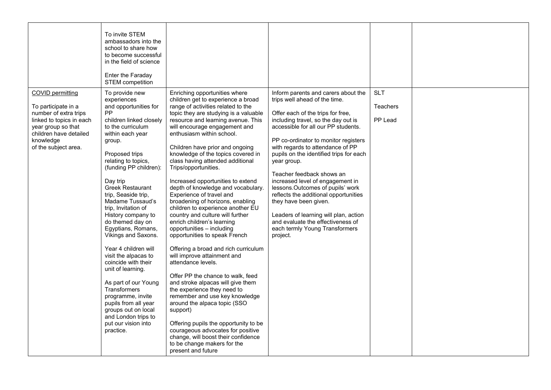|                                                                                                                                                                                          | To invite STEM<br>ambassadors into the<br>school to share how<br>to become successful<br>in the field of science<br>Enter the Faraday<br><b>STEM</b> competition                                                                                                                                                                                                                                                                                                                                                                                                                                                                                                                        |                                                                                                                                                                                                                                                                                                                                                                                                                                                                                                                                                                                                                                                                                                                                                                                                                                                                                                                                                                                                                                                                                                                                                                           |                                                                                                                                                                                                                                                                                                                                                                                                                                                                                                                                                                                                                                  |                                          |  |
|------------------------------------------------------------------------------------------------------------------------------------------------------------------------------------------|-----------------------------------------------------------------------------------------------------------------------------------------------------------------------------------------------------------------------------------------------------------------------------------------------------------------------------------------------------------------------------------------------------------------------------------------------------------------------------------------------------------------------------------------------------------------------------------------------------------------------------------------------------------------------------------------|---------------------------------------------------------------------------------------------------------------------------------------------------------------------------------------------------------------------------------------------------------------------------------------------------------------------------------------------------------------------------------------------------------------------------------------------------------------------------------------------------------------------------------------------------------------------------------------------------------------------------------------------------------------------------------------------------------------------------------------------------------------------------------------------------------------------------------------------------------------------------------------------------------------------------------------------------------------------------------------------------------------------------------------------------------------------------------------------------------------------------------------------------------------------------|----------------------------------------------------------------------------------------------------------------------------------------------------------------------------------------------------------------------------------------------------------------------------------------------------------------------------------------------------------------------------------------------------------------------------------------------------------------------------------------------------------------------------------------------------------------------------------------------------------------------------------|------------------------------------------|--|
| <b>COVID permitting</b><br>To participate in a<br>number of extra trips<br>linked to topics in each<br>year group so that<br>children have detailed<br>knowledge<br>of the subject area. | To provide new<br>experiences<br>and opportunities for<br>PP<br>children linked closely<br>to the curriculum<br>within each year<br>group.<br>Proposed trips<br>relating to topics,<br>(funding PP children):<br>Day trip<br><b>Greek Restaurant</b><br>trip, Seaside trip,<br>Madame Tussaud's<br>trip, Invitation of<br>History company to<br>do themed day on<br>Egyptians, Romans,<br>Vikings and Saxons.<br>Year 4 children will<br>visit the alpacas to<br>coincide with their<br>unit of learning.<br>As part of our Young<br><b>Transformers</b><br>programme, invite<br>pupils from all year<br>groups out on local<br>and London trips to<br>put our vision into<br>practice. | Enriching opportunities where<br>children get to experience a broad<br>range of activities related to the<br>topic they are studying is a valuable<br>resource and learning avenue. This<br>will encourage engagement and<br>enthusiasm within school.<br>Children have prior and ongoing<br>knowledge of the topics covered in<br>class having attended additional<br>Trips/opportunities.<br>Increased opportunities to extend<br>depth of knowledge and vocabulary.<br>Experience of travel and<br>broadening of horizons, enabling<br>children to experience another EU<br>country and culture will further<br>enrich children's learning<br>opportunities - including<br>opportunities to speak French<br>Offering a broad and rich curriculum<br>will improve attainment and<br>attendance levels.<br>Offer PP the chance to walk, feed<br>and stroke alpacas will give them<br>the experience they need to<br>remember and use key knowledge<br>around the alpaca topic (SSO<br>support)<br>Offering pupils the opportunity to be<br>courageous advocates for positive<br>change, will boost their confidence<br>to be change makers for the<br>present and future | Inform parents and carers about the<br>trips well ahead of the time.<br>Offer each of the trips for free,<br>including travel, so the day out is<br>accessible for all our PP students.<br>PP co-ordinator to monitor registers<br>with regards to attendance of PP<br>pupils on the identified trips for each<br>year group.<br>Teacher feedback shows an<br>increased level of engagement in<br>lessons.Outcomes of pupils' work<br>reflects the additional opportunities<br>they have been given.<br>Leaders of learning will plan, action<br>and evaluate the effectiveness of<br>each termly Young Transformers<br>project. | <b>SLT</b><br><b>Teachers</b><br>PP Lead |  |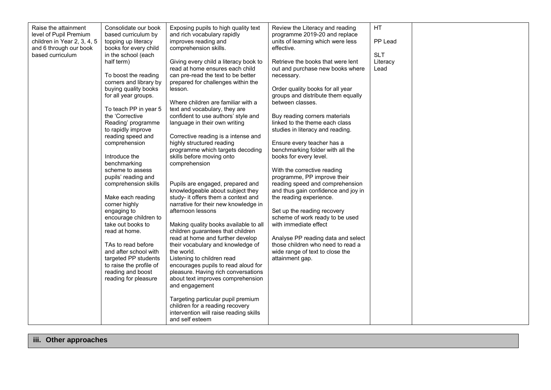| Raise the attainment<br>level of Pupil Premium<br>children in Year 2, 3, 4, 5<br>and 6 through our book<br>based curriculum | Consolidate our book<br>based curriculum by<br>topping up literacy<br>books for every child<br>in the school (each<br>half term)<br>To boost the reading<br>corners and library by<br>buying quality books<br>for all year groups.<br>To teach PP in year 5<br>the 'Corrective<br>Reading' programme<br>to rapidly improve<br>reading speed and<br>comprehension<br>Introduce the<br>benchmarking<br>scheme to assess<br>pupils' reading and<br>comprehension skills<br>Make each reading<br>corner highly<br>engaging to<br>encourage children to<br>take out books to<br>read at home.<br>TAs to read before<br>and after school with<br>targeted PP students<br>to raise the profile of<br>reading and boost<br>reading for pleasure | Exposing pupils to high quality text<br>and rich vocabulary rapidly<br>improves reading and<br>comprehension skills.<br>Giving every child a literacy book to<br>read at home ensures each child<br>can pre-read the text to be better<br>prepared for challenges within the<br>lesson.<br>Where children are familiar with a<br>text and vocabulary, they are<br>confident to use authors' style and<br>language in their own writing<br>Corrective reading is a intense and<br>highly structured reading<br>programme which targets decoding<br>skills before moving onto<br>comprehension<br>Pupils are engaged, prepared and<br>knowledgeable about subject they<br>study- it offers them a context and<br>narrative for their new knowledge in<br>afternoon lessons<br>Making quality books available to all<br>children guarantees that children<br>read at home and further develop<br>their vocabulary and knowledge of<br>the world.<br>Listening to children read<br>encourages pupils to read aloud for<br>pleasure. Having rich conversations<br>about text improves comprehension<br>and engagement<br>Targeting particular pupil premium<br>children for a reading recovery<br>intervention will raise reading skills<br>and self esteem | Review the Literacy and reading<br>programme 2019-20 and replace<br>units of learning which were less<br>effective.<br>Retrieve the books that were lent<br>out and purchase new books where<br>necessary.<br>Order quality books for all year<br>groups and distribute them equally<br>between classes.<br>Buy reading corners materials<br>linked to the theme each class<br>studies in literacy and reading.<br>Ensure every teacher has a<br>benchmarking folder with all the<br>books for every level.<br>With the corrective reading<br>programme, PP improve their<br>reading speed and comprehension<br>and thus gain confidence and joy in<br>the reading experience.<br>Set up the reading recovery<br>scheme of work ready to be used<br>with immediate effect<br>Analyse PP reading data and select<br>those children who need to read a<br>wide range of text to close the<br>attainment gap. | HT<br>PP Lead<br><b>SLT</b><br>Literacy<br>Lead |  |
|-----------------------------------------------------------------------------------------------------------------------------|-----------------------------------------------------------------------------------------------------------------------------------------------------------------------------------------------------------------------------------------------------------------------------------------------------------------------------------------------------------------------------------------------------------------------------------------------------------------------------------------------------------------------------------------------------------------------------------------------------------------------------------------------------------------------------------------------------------------------------------------|--------------------------------------------------------------------------------------------------------------------------------------------------------------------------------------------------------------------------------------------------------------------------------------------------------------------------------------------------------------------------------------------------------------------------------------------------------------------------------------------------------------------------------------------------------------------------------------------------------------------------------------------------------------------------------------------------------------------------------------------------------------------------------------------------------------------------------------------------------------------------------------------------------------------------------------------------------------------------------------------------------------------------------------------------------------------------------------------------------------------------------------------------------------------------------------------------------------------------------------------------------|------------------------------------------------------------------------------------------------------------------------------------------------------------------------------------------------------------------------------------------------------------------------------------------------------------------------------------------------------------------------------------------------------------------------------------------------------------------------------------------------------------------------------------------------------------------------------------------------------------------------------------------------------------------------------------------------------------------------------------------------------------------------------------------------------------------------------------------------------------------------------------------------------------|-------------------------------------------------|--|
|-----------------------------------------------------------------------------------------------------------------------------|-----------------------------------------------------------------------------------------------------------------------------------------------------------------------------------------------------------------------------------------------------------------------------------------------------------------------------------------------------------------------------------------------------------------------------------------------------------------------------------------------------------------------------------------------------------------------------------------------------------------------------------------------------------------------------------------------------------------------------------------|--------------------------------------------------------------------------------------------------------------------------------------------------------------------------------------------------------------------------------------------------------------------------------------------------------------------------------------------------------------------------------------------------------------------------------------------------------------------------------------------------------------------------------------------------------------------------------------------------------------------------------------------------------------------------------------------------------------------------------------------------------------------------------------------------------------------------------------------------------------------------------------------------------------------------------------------------------------------------------------------------------------------------------------------------------------------------------------------------------------------------------------------------------------------------------------------------------------------------------------------------------|------------------------------------------------------------------------------------------------------------------------------------------------------------------------------------------------------------------------------------------------------------------------------------------------------------------------------------------------------------------------------------------------------------------------------------------------------------------------------------------------------------------------------------------------------------------------------------------------------------------------------------------------------------------------------------------------------------------------------------------------------------------------------------------------------------------------------------------------------------------------------------------------------------|-------------------------------------------------|--|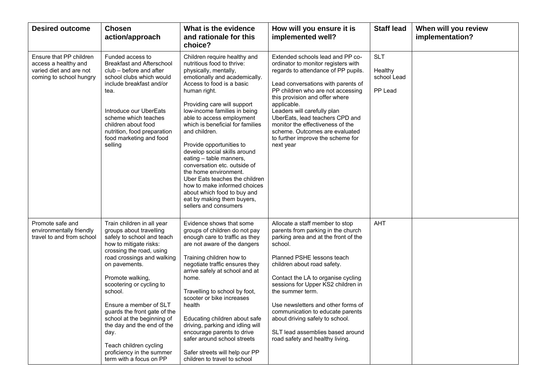| <b>Desired outcome</b>                                                                                | <b>Chosen</b><br>action/approach                                                                                                                                                                                                                                                                                                                                                                                                                                    | What is the evidence<br>and rationale for this<br>choice?                                                                                                                                                                                                                                                                                                                                                                                                                                                                                                                                                                  | How will you ensure it is<br>implemented well?                                                                                                                                                                                                                                                                                                                                                                                                                            | <b>Staff lead</b>                               | When will you review<br>implementation? |
|-------------------------------------------------------------------------------------------------------|---------------------------------------------------------------------------------------------------------------------------------------------------------------------------------------------------------------------------------------------------------------------------------------------------------------------------------------------------------------------------------------------------------------------------------------------------------------------|----------------------------------------------------------------------------------------------------------------------------------------------------------------------------------------------------------------------------------------------------------------------------------------------------------------------------------------------------------------------------------------------------------------------------------------------------------------------------------------------------------------------------------------------------------------------------------------------------------------------------|---------------------------------------------------------------------------------------------------------------------------------------------------------------------------------------------------------------------------------------------------------------------------------------------------------------------------------------------------------------------------------------------------------------------------------------------------------------------------|-------------------------------------------------|-----------------------------------------|
| Ensure that PP children<br>access a healthy and<br>varied diet and are not<br>coming to school hungry | Funded access to<br><b>Breakfast and Afterschool</b><br>club – before and after<br>school clubs which would<br>include breakfast and/or<br>tea.<br>Introduce our UberEats<br>scheme which teaches<br>children about food<br>nutrition, food preparation<br>food marketing and food<br>selling                                                                                                                                                                       | Children require healthy and<br>nutritious food to thrive:<br>physically, mentally,<br>emotionally and academically.<br>Access to food is a basic<br>human right.<br>Providing care will support<br>low-income families in being<br>able to access employment<br>which is beneficial for families<br>and children.<br>Provide opportunities to<br>develop social skills around<br>eating - table manners,<br>conversation etc. outside of<br>the home environment.<br>Uber Eats teaches the children<br>how to make informed choices<br>about which food to buy and<br>eat by making them buyers,<br>sellers and consumers | Extended schools lead and PP co-<br>ordinator to monitor registers with<br>regards to attendance of PP pupils.<br>Lead conversations with parents of<br>PP children who are not accessing<br>this provision and offer where<br>applicable.<br>Leaders will carefully plan<br>UberEats, lead teachers CPD and<br>monitor the effectiveness of the<br>scheme. Outcomes are evaluated<br>to further improve the scheme for<br>next year                                      | <b>SLT</b><br>Healthy<br>school Lead<br>PP Lead |                                         |
| Promote safe and<br>environmentally friendly<br>travel to and from school                             | Train children in all year<br>groups about travelling<br>safely to school and teach<br>how to mitigate risks:<br>crossing the road, using<br>road crossings and walking<br>on pavements.<br>Promote walking,<br>scootering or cycling to<br>school.<br>Ensure a member of SLT<br>guards the front gate of the<br>school at the beginning of<br>the day and the end of the<br>day.<br>Teach children cycling<br>proficiency in the summer<br>term with a focus on PP | Evidence shows that some<br>groups of children do not pay<br>enough care to traffic as they<br>are not aware of the dangers<br>Training children how to<br>negotiate traffic ensures they<br>arrive safely at school and at<br>home.<br>Travelling to school by foot,<br>scooter or bike increases<br>health<br>Educating children about safe<br>driving, parking and idling will<br>encourage parents to drive<br>safer around school streets<br>Safer streets will help our PP<br>children to travel to school                                                                                                           | Allocate a staff member to stop<br>parents from parking in the church<br>parking area and at the front of the<br>school.<br>Planned PSHE lessons teach<br>children about road safety.<br>Contact the LA to organise cycling<br>sessions for Upper KS2 children in<br>the summer term.<br>Use newsletters and other forms of<br>communication to educate parents<br>about driving safely to school.<br>SLT lead assemblies based around<br>road safety and healthy living. | <b>AHT</b>                                      |                                         |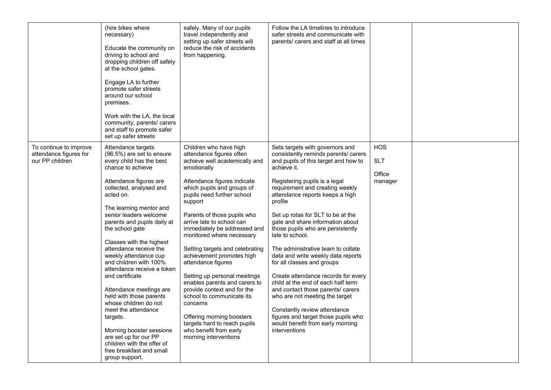|                                                                     | (hire bikes where<br>necessary)<br>Educate the community on<br>driving to school and<br>dropping children off safely<br>at the school gates.<br>Engage LA to further<br>promote safer streets<br>around our school<br>premises.<br>Work with the LA, the local<br>community, parents/ carers<br>and staff to promote safer<br>set up safer streets                                                                                                                                                                                                                                                                                                                                     | safely. Many of our pupils<br>travel independently and<br>setting up safer streets will<br>reduce the risk of accidents<br>from happening.                                                                                                                                                                                                                                                                                                                                                                                                                                                                                                                                       | Follow the LA timelines to introduce<br>safer streets and communicate with<br>parents/ carers and staff at all times                                                                                                                                                                                                                                                                                                                                                                                                                                                                                                                                                                                                                                                        |                                               |  |
|---------------------------------------------------------------------|----------------------------------------------------------------------------------------------------------------------------------------------------------------------------------------------------------------------------------------------------------------------------------------------------------------------------------------------------------------------------------------------------------------------------------------------------------------------------------------------------------------------------------------------------------------------------------------------------------------------------------------------------------------------------------------|----------------------------------------------------------------------------------------------------------------------------------------------------------------------------------------------------------------------------------------------------------------------------------------------------------------------------------------------------------------------------------------------------------------------------------------------------------------------------------------------------------------------------------------------------------------------------------------------------------------------------------------------------------------------------------|-----------------------------------------------------------------------------------------------------------------------------------------------------------------------------------------------------------------------------------------------------------------------------------------------------------------------------------------------------------------------------------------------------------------------------------------------------------------------------------------------------------------------------------------------------------------------------------------------------------------------------------------------------------------------------------------------------------------------------------------------------------------------------|-----------------------------------------------|--|
| To continue to improve<br>attendance figures for<br>our PP children | Attendance targets<br>(96.5%) are set to ensure<br>every child has the best<br>chance to achieve<br>Attendance figures are<br>collected, analysed and<br>acted on.<br>The learning mentor and<br>senior leaders welcome<br>parents and pupils daily at<br>the school gate<br>Classes with the highest<br>attendance receive the<br>weekly attendance cup<br>and children with 100%<br>attendance receive a token<br>and certificate<br>Attendance meetings are<br>held with those parents<br>whose children do not<br>meet the attendance<br>targets.<br>Morning booster sessions<br>are set up for our PP<br>children with the offer of<br>free breakfast and small<br>group support. | Children who have high<br>attendance figures often<br>achieve well academically and<br>emotionally<br>Attendance figures indicate<br>which pupils and groups of<br>pupils need further school<br>support<br>Parents of those pupils who<br>arrive late to school can<br>immediately be addressed and<br>monitored where necessary<br>Setting targets and celebrating<br>achievement promotes high<br>attendance figures<br>Setting up personal meetings<br>enables parents and carers to<br>provide context and for the<br>school to communicate its<br>concerns<br>Offering morning boosters<br>targets hard to reach pupils<br>who benefit from early<br>morning interventions | Sets targets with governors and<br>consistently reminds parents/ carers<br>and pupils of this target and how to<br>achieve it.<br>Registering pupils is a legal<br>requirement and creating weekly<br>attendance reports keeps a high<br>profile<br>Set up rotas for SLT to be at the<br>gate and share information about<br>those pupils who are persistently<br>late to school.<br>The administrative team to collate<br>data and write weekly data reports<br>for all classes and groups<br>Create attendance records for every<br>child at the end of each half term<br>and contact those parents/ carers<br>who are not meeting the target<br>Constantly review attendance<br>figures and target those pupils who<br>would benefit from early morning<br>interventions | <b>HOS</b><br><b>SLT</b><br>Office<br>manager |  |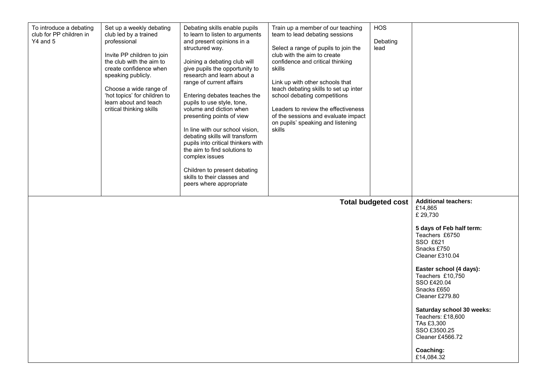| To introduce a debating<br>club for PP children in<br>$Y4$ and 5 | Set up a weekly debating<br>club led by a trained<br>professional<br>Invite PP children to join<br>the club with the aim to<br>create confidence when<br>speaking publicly.<br>Choose a wide range of<br>'hot topics' for children to<br>learn about and teach<br>critical thinking skills | Debating skills enable pupils<br>to learn to listen to arguments<br>and present opinions in a<br>structured way.<br>Joining a debating club will<br>give pupils the opportunity to<br>research and learn about a<br>range of current affairs<br>Entering debates teaches the<br>pupils to use style, tone,<br>volume and diction when<br>presenting points of view<br>In line with our school vision,<br>debating skills will transform<br>pupils into critical thinkers with<br>the aim to find solutions to<br>complex issues<br>Children to present debating<br>skills to their classes and<br>peers where appropriate | Train up a member of our teaching<br>team to lead debating sessions<br>Select a range of pupils to join the<br>club with the aim to create<br>confidence and critical thinking<br>skills<br>Link up with other schools that<br>teach debating skills to set up inter<br>school debating competitions<br>Leaders to review the effectiveness<br>of the sessions and evaluate impact<br>on pupils' speaking and listening<br>skills | <b>HOS</b><br>Debating<br>lead |                                                                                                                                                                                                                                                                                                                                                                               |
|------------------------------------------------------------------|--------------------------------------------------------------------------------------------------------------------------------------------------------------------------------------------------------------------------------------------------------------------------------------------|---------------------------------------------------------------------------------------------------------------------------------------------------------------------------------------------------------------------------------------------------------------------------------------------------------------------------------------------------------------------------------------------------------------------------------------------------------------------------------------------------------------------------------------------------------------------------------------------------------------------------|-----------------------------------------------------------------------------------------------------------------------------------------------------------------------------------------------------------------------------------------------------------------------------------------------------------------------------------------------------------------------------------------------------------------------------------|--------------------------------|-------------------------------------------------------------------------------------------------------------------------------------------------------------------------------------------------------------------------------------------------------------------------------------------------------------------------------------------------------------------------------|
|                                                                  |                                                                                                                                                                                                                                                                                            |                                                                                                                                                                                                                                                                                                                                                                                                                                                                                                                                                                                                                           |                                                                                                                                                                                                                                                                                                                                                                                                                                   | <b>Total budgeted cost</b>     | <b>Additional teachers:</b><br>£14,865<br>£ 29,730<br>5 days of Feb half term:<br>Teachers £6750<br>SSO £621<br>Snacks £750<br>Cleaner £310.04<br>Easter school (4 days):<br>Teachers £10,750<br>SSO £420.04<br>Snacks £650<br>Cleaner £279.80<br>Saturday school 30 weeks:<br>Teachers: £18,600<br>TAs £3,300<br>SSO £3500.25<br>Cleaner £4566.72<br>Coaching:<br>£14,084.32 |